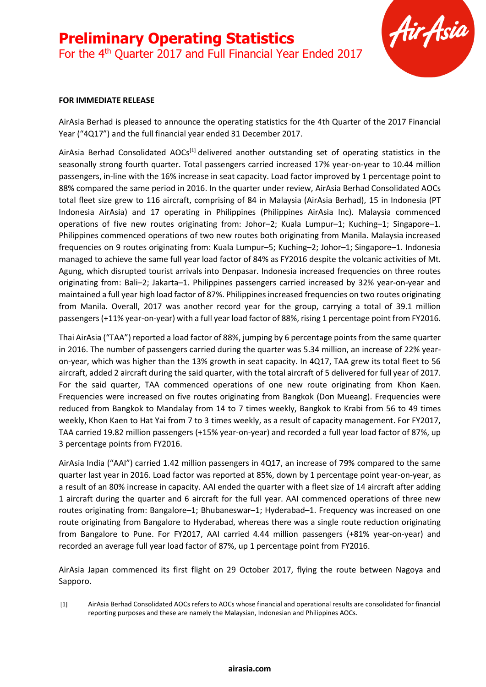

#### **FOR IMMEDIATE RELEASE**

AirAsia Berhad is pleased to announce the operating statistics for the 4th Quarter of the 2017 Financial Year ("4Q17") and the full financial year ended 31 December 2017.

AirAsia Berhad Consolidated AOCs<sup>[1]</sup> delivered another outstanding set of operating statistics in the seasonally strong fourth quarter. Total passengers carried increased 17% year-on-year to 10.44 million passengers, in-line with the 16% increase in seat capacity. Load factor improved by 1 percentage point to 88% compared the same period in 2016. In the quarter under review, AirAsia Berhad Consolidated AOCs total fleet size grew to 116 aircraft, comprising of 84 in Malaysia (AirAsia Berhad), 15 in Indonesia (PT Indonesia AirAsia) and 17 operating in Philippines (Philippines AirAsia Inc). Malaysia commenced operations of five new routes originating from: Johor–2; Kuala Lumpur–1; Kuching–1; Singapore–1. Philippines commenced operations of two new routes both originating from Manila. Malaysia increased frequencies on 9 routes originating from: Kuala Lumpur–5; Kuching–2; Johor–1; Singapore–1. Indonesia managed to achieve the same full year load factor of 84% as FY2016 despite the volcanic activities of Mt. Agung, which disrupted tourist arrivals into Denpasar. Indonesia increased frequencies on three routes originating from: Bali–2; Jakarta–1. Philippines passengers carried increased by 32% year-on-year and maintained a full year high load factor of 87%. Philippines increased frequencies on two routes originating from Manila. Overall, 2017 was another record year for the group, carrying a total of 39.1 million passengers (+11% year-on-year) with a full year load factor of 88%, rising 1 percentage point from FY2016.

Thai AirAsia ("TAA") reported a load factor of 88%, jumping by 6 percentage points from the same quarter in 2016. The number of passengers carried during the quarter was 5.34 million, an increase of 22% yearon-year, which was higher than the 13% growth in seat capacity. In 4Q17, TAA grew its total fleet to 56 aircraft, added 2 aircraft during the said quarter, with the total aircraft of 5 delivered for full year of 2017. For the said quarter, TAA commenced operations of one new route originating from Khon Kaen. Frequencies were increased on five routes originating from Bangkok (Don Mueang). Frequencies were reduced from Bangkok to Mandalay from 14 to 7 times weekly, Bangkok to Krabi from 56 to 49 times weekly, Khon Kaen to Hat Yai from 7 to 3 times weekly, as a result of capacity management. For FY2017, TAA carried 19.82 million passengers (+15% year-on-year) and recorded a full year load factor of 87%, up 3 percentage points from FY2016.

AirAsia India ("AAI") carried 1.42 million passengers in 4Q17, an increase of 79% compared to the same quarter last year in 2016. Load factor was reported at 85%, down by 1 percentage point year-on-year, as a result of an 80% increase in capacity. AAI ended the quarter with a fleet size of 14 aircraft after adding 1 aircraft during the quarter and 6 aircraft for the full year. AAI commenced operations of three new routes originating from: Bangalore–1; Bhubaneswar–1; Hyderabad–1. Frequency was increased on one route originating from Bangalore to Hyderabad, whereas there was a single route reduction originating from Bangalore to Pune. For FY2017, AAI carried 4.44 million passengers (+81% year-on-year) and recorded an average full year load factor of 87%, up 1 percentage point from FY2016.

AirAsia Japan commenced its first flight on 29 October 2017, flying the route between Nagoya and Sapporo.

[1] AirAsia Berhad Consolidated AOCs refers to AOCs whose financial and operational results are consolidated for financial reporting purposes and these are namely the Malaysian, Indonesian and Philippines AOCs.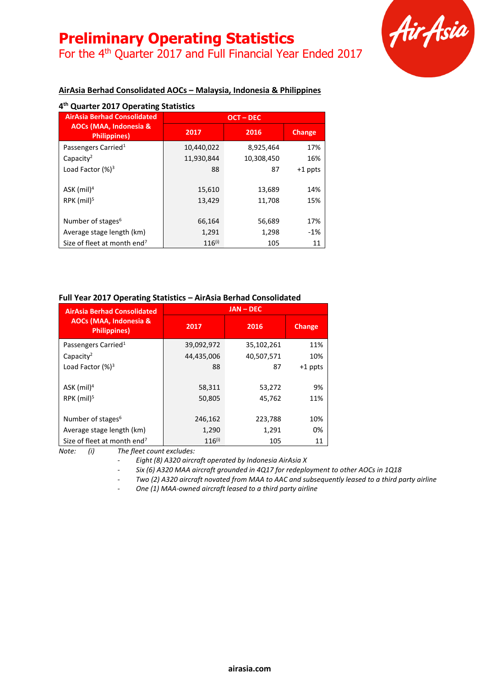For the 4th Quarter 2017 and Full Financial Year Ended 2017



### **AirAsia Berhad Consolidated AOCs – Malaysia, Indonesia & Philippines**

| 4 <sup>th</sup> Quarter 2017 Operating Statistics |             |            |               |
|---------------------------------------------------|-------------|------------|---------------|
| <b>AirAsia Berhad Consolidated</b>                |             | OCT-DEC    |               |
| AOCs (MAA, Indonesia &<br><b>Philippines</b> )    | 2017        | 2016       | <b>Change</b> |
| Passengers Carried <sup>1</sup>                   | 10,440,022  | 8,925,464  | 17%           |
| Capacity <sup>2</sup>                             | 11,930,844  | 10,308,450 | 16%           |
| Load Factor $(%)^3$                               | 88          | 87         | $+1$ ppts     |
| ASK $(mil)^4$                                     | 15,610      | 13,689     | 14%           |
| RPK $(mil)^5$                                     | 13,429      | 11,708     | 15%           |
| Number of stages <sup>6</sup>                     | 66,164      | 56,689     | 17%           |
| Average stage length (km)                         | 1,291       | 1,298      | $-1%$         |
| Size of fleet at month end <sup>7</sup>           | $116^{(i)}$ | 105        | 11            |

### **Full Year 2017 Operating Statistics – AirAsia Berhad Consolidated**

| <b>AirAsia Berhad Consolidated</b>             | <b>JAN-DEC</b> |            |           |
|------------------------------------------------|----------------|------------|-----------|
| AOCs (MAA, Indonesia &<br><b>Philippines</b> ) | 2017           | 2016       | Change    |
| Passengers Carried <sup>1</sup>                | 39,092,972     | 35,102,261 | 11%       |
| Capacity <sup>2</sup>                          | 44,435,006     | 40,507,571 | 10%       |
| Load Factor $(%)^3$                            | 88             | 87         | $+1$ ppts |
|                                                |                |            |           |
| $ASK$ (mil) <sup>4</sup>                       | 58,311         | 53,272     | 9%        |
| RPK $(mil)5$                                   | 50,805         | 45,762     | 11%       |
|                                                |                |            |           |
| Number of stages <sup>6</sup>                  | 246,162        | 223,788    | 10%       |
| Average stage length (km)                      | 1,290          | 1,291      | 0%        |
| Size of fleet at month end <sup>7</sup>        | $116^{(i)}$    | 105        | 11        |

*Note: (i) The fleet count excludes:*

*- Eight (8) A320 aircraft operated by Indonesia AirAsia X*

*- Six (6) A320 MAA aircraft grounded in 4Q17 for redeployment to other AOCs in 1Q18*

*- Two (2) A320 aircraft novated from MAA to AAC and subsequently leased to a third party airline*

*- One (1) MAA-owned aircraft leased to a third party airline*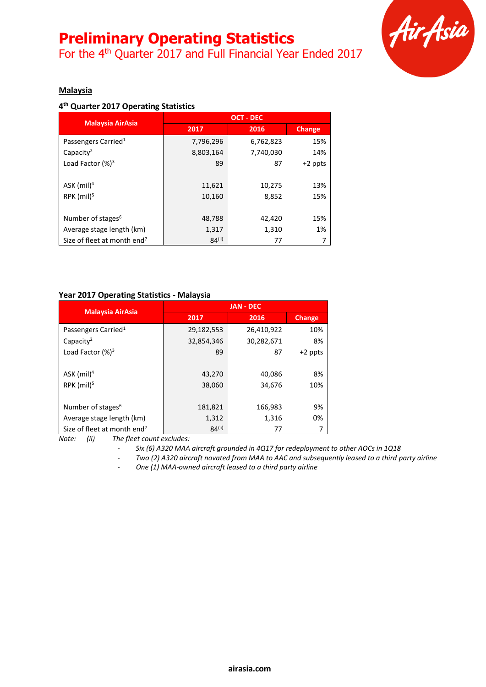For the 4th Quarter 2017 and Full Financial Year Ended 2017



#### **Malaysia**

#### **4 th Quarter 2017 Operating Statistics**

|                                         | <b>OCT - DEC</b> |           |               |
|-----------------------------------------|------------------|-----------|---------------|
| <b>Malaysia AirAsia</b>                 | 2017             | 2016      | <b>Change</b> |
| Passengers Carried <sup>1</sup>         | 7,796,296        | 6,762,823 | 15%           |
| Capacity <sup>2</sup>                   | 8,803,164        | 7,740,030 | 14%           |
| Load Factor $(%)^3$                     | 89               | 87        | $+2$ ppts     |
|                                         |                  |           |               |
| ASK $(mil)^4$                           | 11,621           | 10,275    | 13%           |
| RPK $(mil)^5$                           | 10,160           | 8,852     | 15%           |
|                                         |                  |           |               |
| Number of stages <sup>6</sup>           | 48,788           | 42,420    | 15%           |
| Average stage length (km)               | 1,317            | 1,310     | 1%            |
| Size of fleet at month end <sup>7</sup> | $84^{(ii)}$      | 77        |               |

#### **Year 2017 Operating Statistics - Malaysia**

| <b>Malaysia AirAsia</b>                 |             | <b>JAN - DEC</b> |               |
|-----------------------------------------|-------------|------------------|---------------|
|                                         | 2017        | 2016             | <b>Change</b> |
| Passengers Carried <sup>1</sup>         | 29,182,553  | 26,410,922       | 10%           |
| Capacity <sup>2</sup>                   | 32,854,346  | 30,282,671       | 8%            |
| Load Factor $(%)^3$                     | 89          | 87               | $+2$ ppts     |
|                                         |             |                  |               |
| ASK $(mil)^4$                           | 43,270      | 40,086           | 8%            |
| RPK $(mil)5$                            | 38,060      | 34,676           | 10%           |
|                                         |             |                  |               |
| Number of stages <sup>6</sup>           | 181,821     | 166,983          | 9%            |
| Average stage length (km)               | 1,312       | 1,316            | 0%            |
| Size of fleet at month end <sup>7</sup> | $84^{(ii)}$ | 77               |               |

*Note: (ii) The fleet count excludes:*

*- Six (6) A320 MAA aircraft grounded in 4Q17 for redeployment to other AOCs in 1Q18*

*- Two (2) A320 aircraft novated from MAA to AAC and subsequently leased to a third party airline*

*- One (1) MAA-owned aircraft leased to a third party airline*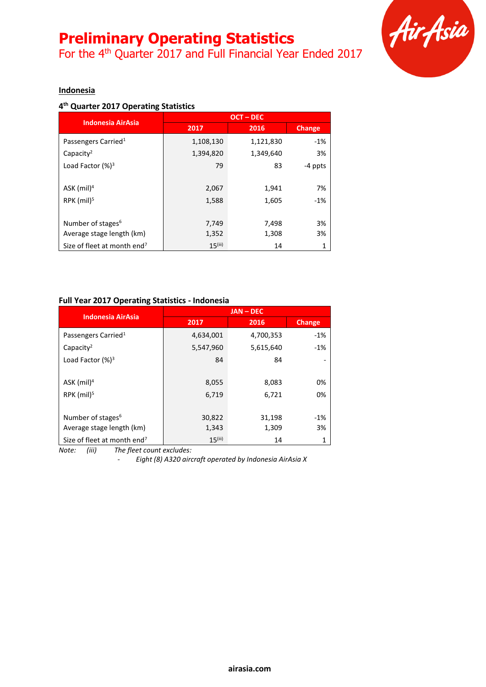For the 4<sup>th</sup> Quarter 2017 and Full Financial Year Ended 2017



#### **Indonesia**

### **4 th Quarter 2017 Operating Statistics**

|                                         | <b>OCT-DEC</b>        |           |         |
|-----------------------------------------|-----------------------|-----------|---------|
| <b>Indonesia AirAsia</b>                | 2017                  | 2016      | Change  |
| Passengers Carried <sup>1</sup>         | 1,108,130             | 1,121,830 | $-1%$   |
| Capacity <sup>2</sup>                   | 1,394,820             | 1,349,640 | 3%      |
| Load Factor $(%)^3$                     | 79                    | 83        | -4 ppts |
|                                         |                       |           |         |
| ASK $(mil)^4$                           | 2,067                 | 1,941     | 7%      |
| $RPK$ (mil) <sup>5</sup>                | 1,588                 | 1,605     | $-1%$   |
|                                         |                       |           |         |
| Number of stages <sup>6</sup>           | 7,749                 | 7,498     | 3%      |
| Average stage length (km)               | 1,352                 | 1,308     | 3%      |
| Size of fleet at month end <sup>7</sup> | $15$ <sup>(iii)</sup> | 14        | 1       |

#### **Full Year 2017 Operating Statistics - Indonesia**

| <b>Indonesia AirAsia</b>                | <b>JAN-DEC</b>        |           |        |
|-----------------------------------------|-----------------------|-----------|--------|
|                                         | 2017                  | 2016      | Change |
| Passengers Carried <sup>1</sup>         | 4,634,001             | 4,700,353 | $-1%$  |
| Capacity <sup>2</sup>                   | 5,547,960             | 5,615,640 | $-1%$  |
| Load Factor $(%)^3$                     | 84                    | 84        |        |
|                                         |                       |           |        |
| ASK $(mil)^4$                           | 8,055                 | 8,083     | 0%     |
| RPK (mil) <sup>5</sup>                  | 6,719                 | 6,721     | 0%     |
|                                         |                       |           |        |
| Number of stages <sup>6</sup>           | 30,822                | 31,198    | $-1%$  |
| Average stage length (km)               | 1,343                 | 1,309     | 3%     |
| Size of fleet at month end <sup>7</sup> | $15$ <sup>(iii)</sup> | 14        |        |

*Note: (iii) The fleet count excludes:*

*- Eight (8) A320 aircraft operated by Indonesia AirAsia X*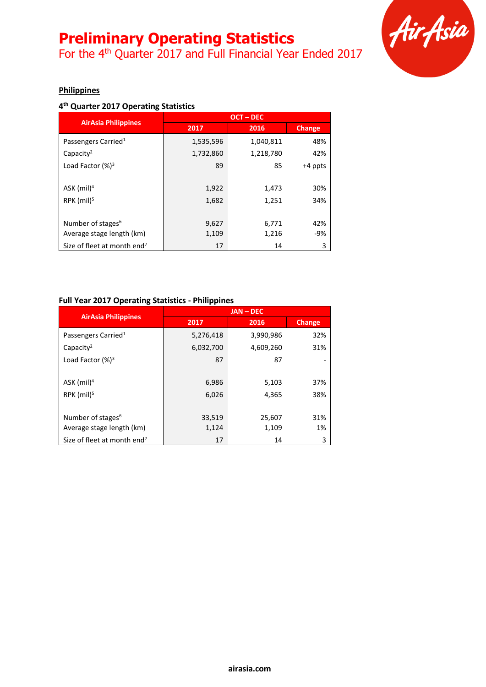For the 4<sup>th</sup> Quarter 2017 and Full Financial Year Ended 2017



#### **Philippines**

### **4 th Quarter 2017 Operating Statistics**

|                                         | <b>OCT-DEC</b> |           |         |
|-----------------------------------------|----------------|-----------|---------|
| <b>AirAsia Philippines</b>              | 2017           | 2016      | Change  |
| Passengers Carried <sup>1</sup>         | 1,535,596      | 1,040,811 | 48%     |
| Capacity <sup>2</sup>                   | 1,732,860      | 1,218,780 | 42%     |
| Load Factor $(%)^3$                     | 89             | 85        | +4 ppts |
|                                         |                |           |         |
| ASK (mil) <sup>4</sup>                  | 1,922          | 1,473     | 30%     |
| RPK (mil) <sup>5</sup>                  | 1,682          | 1,251     | 34%     |
|                                         |                |           |         |
| Number of stages <sup>6</sup>           | 9,627          | 6,771     | 42%     |
| Average stage length (km)               | 1,109          | 1,216     | -9%     |
| Size of fleet at month end <sup>7</sup> | 17             | 14        | 3       |

#### **Full Year 2017 Operating Statistics - Philippines**

| <b>AirAsia Philippines</b>              |           | $JAN - DEC$ |        |
|-----------------------------------------|-----------|-------------|--------|
|                                         | 2017      | 2016        | Change |
| Passengers Carried <sup>1</sup>         | 5,276,418 | 3,990,986   | 32%    |
| Capacity <sup>2</sup>                   | 6,032,700 | 4,609,260   | 31%    |
| Load Factor $(%)^3$                     | 87        | 87          |        |
|                                         |           |             |        |
| $ASK$ (mil) <sup>4</sup>                | 6,986     | 5,103       | 37%    |
| $RPK$ (mil) <sup>5</sup>                | 6,026     | 4,365       | 38%    |
|                                         |           |             |        |
| Number of stages <sup>6</sup>           | 33,519    | 25,607      | 31%    |
| Average stage length (km)               | 1,124     | 1,109       | 1%     |
| Size of fleet at month end <sup>7</sup> | 17        | 14          | 3      |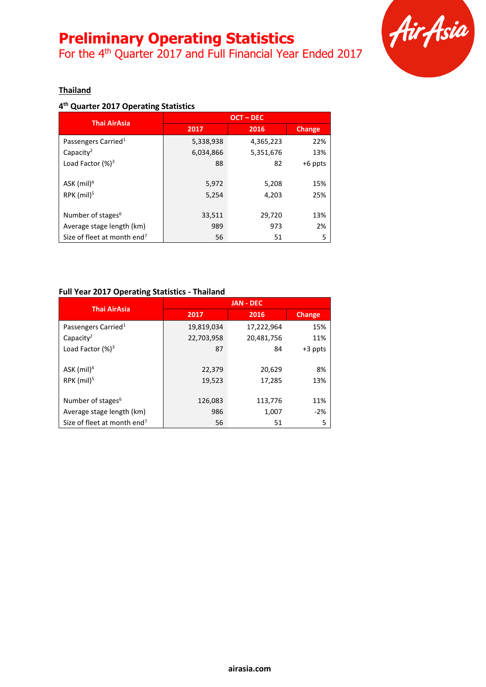For the 4<sup>th</sup> Quarter 2017 and Full Financial Year Ended 2017



### **Thailand**

### **4 th Quarter 2017 Operating Statistics**

| <b>Thai AirAsia</b>                     |           | <b>OCT-DEC</b> |               |
|-----------------------------------------|-----------|----------------|---------------|
|                                         | 2017      | 2016           | <b>Change</b> |
| Passengers Carried <sup>1</sup>         | 5,338,938 | 4,365,223      | 22%           |
| Capacity <sup>2</sup>                   | 6,034,866 | 5,351,676      | 13%           |
| Load Factor $(%)^3$                     | 88        | 82             | $+6$ ppts     |
|                                         |           |                |               |
| ASK $(mil)^4$                           | 5,972     | 5,208          | 15%           |
| $RPK$ (mil) <sup>5</sup>                | 5,254     | 4,203          | 25%           |
|                                         |           |                |               |
| Number of stages <sup>6</sup>           | 33,511    | 29,720         | 13%           |
| Average stage length (km)               | 989       | 973            | 2%            |
| Size of fleet at month end <sup>7</sup> | 56        | 51             | 5             |

### **Full Year 2017 Operating Statistics - Thailand**

| <b>Thai AirAsia</b>                     |            | <b>JAN - DEC</b> |               |
|-----------------------------------------|------------|------------------|---------------|
|                                         | 2017       | 2016             | <b>Change</b> |
| Passengers Carried <sup>1</sup>         | 19,819,034 | 17,222,964       | 15%           |
| Capacity <sup>2</sup>                   | 22,703,958 | 20,481,756       | 11%           |
| Load Factor $(%)^3$                     | 87         | 84               | $+3$ ppts     |
|                                         |            |                  |               |
| ASK $(mil)^4$                           | 22,379     | 20,629           | 8%            |
| $RPK$ (mil) <sup>5</sup>                | 19,523     | 17,285           | 13%           |
|                                         |            |                  |               |
| Number of stages <sup>6</sup>           | 126,083    | 113,776          | 11%           |
| Average stage length (km)               | 986        | 1,007            | $-2%$         |
| Size of fleet at month end <sup>7</sup> | 56         | 51               | 5             |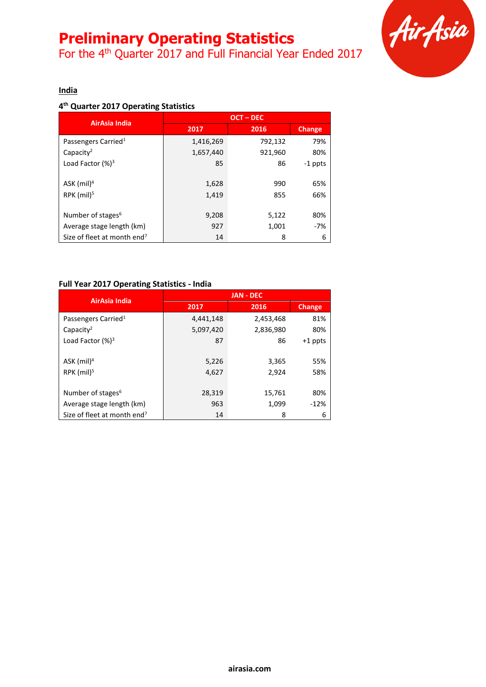For the 4<sup>th</sup> Quarter 2017 and Full Financial Year Ended 2017



#### **India**

### **4 th Quarter 2017 Operating Statistics**

| AirAsia India                           |           | <b>OCT-DEC</b> |               |
|-----------------------------------------|-----------|----------------|---------------|
|                                         | 2017      | 2016           | <b>Change</b> |
| Passengers Carried <sup>1</sup>         | 1,416,269 | 792,132        | 79%           |
| Capacity <sup>2</sup>                   | 1,657,440 | 921,960        | 80%           |
| Load Factor $(%)^3$                     | 85        | 86             | $-1$ ppts     |
|                                         |           |                |               |
| ASK (mil) <sup>4</sup>                  | 1,628     | 990            | 65%           |
| $RPK$ (mil) <sup>5</sup>                | 1,419     | 855            | 66%           |
|                                         |           |                |               |
| Number of stages <sup>6</sup>           | 9,208     | 5,122          | 80%           |
| Average stage length (km)               | 927       | 1,001          | $-7%$         |
| Size of fleet at month end <sup>7</sup> | 14        | 8              | 6             |

#### **Full Year 2017 Operating Statistics - India**

| AirAsia India                           |           | <b>JAN - DEC</b> |           |
|-----------------------------------------|-----------|------------------|-----------|
|                                         | 2017      | 2016             | Change    |
| Passengers Carried <sup>1</sup>         | 4,441,148 | 2,453,468        | 81%       |
| Capacity <sup>2</sup>                   | 5,097,420 | 2,836,980        | 80%       |
| Load Factor $(%)^3$                     | 87        | 86               | $+1$ ppts |
|                                         |           |                  |           |
| ASK $(mil)^4$                           | 5,226     | 3,365            | 55%       |
| RPK $(mil)5$                            | 4,627     | 2,924            | 58%       |
|                                         |           |                  |           |
| Number of stages <sup>6</sup>           | 28,319    | 15,761           | 80%       |
| Average stage length (km)               | 963       | 1,099            | $-12%$    |
| Size of fleet at month end <sup>7</sup> | 14        | 8                | 6         |